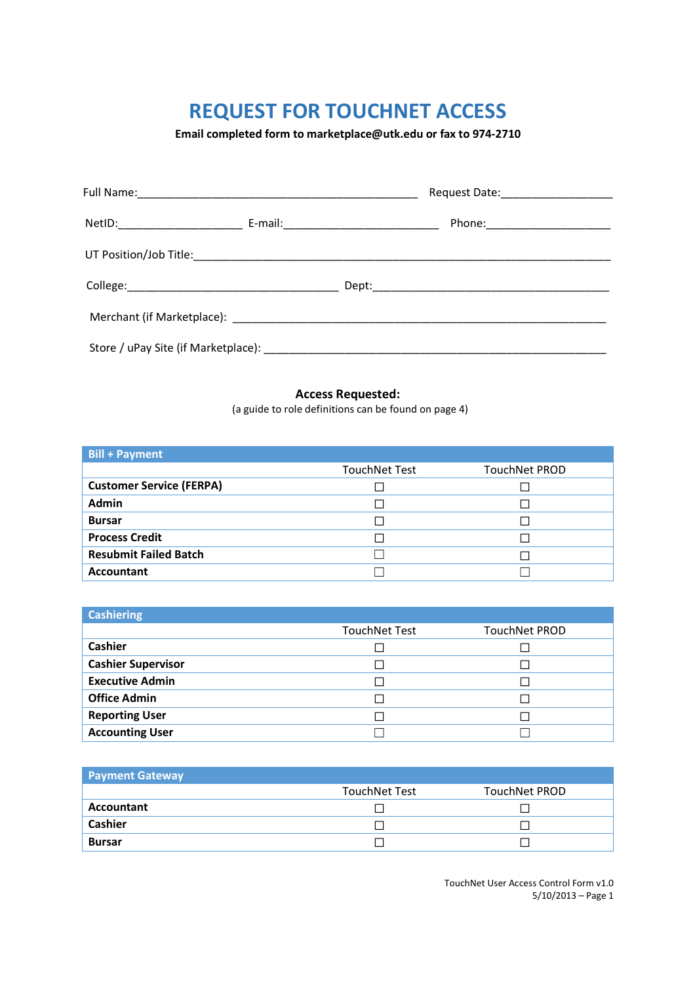**Email completed form to marketplace@utk.edu or fax to 974-2710** 

|  | Phone:_______________________ |
|--|-------------------------------|
|  |                               |
|  |                               |
|  |                               |
|  |                               |

### **Access Requested:**

(a guide to role definitions can be found on page 4)

| <b>Bill + Payment</b>           |                      |               |
|---------------------------------|----------------------|---------------|
|                                 | <b>TouchNet Test</b> | TouchNet PROD |
| <b>Customer Service (FERPA)</b> |                      |               |
| Admin                           |                      |               |
| <b>Bursar</b>                   |                      |               |
| <b>Process Credit</b>           |                      |               |
| <b>Resubmit Failed Batch</b>    |                      |               |
| <b>Accountant</b>               |                      |               |

| <b>Cashiering</b>         |                      |               |
|---------------------------|----------------------|---------------|
|                           | <b>TouchNet Test</b> | TouchNet PROD |
| <b>Cashier</b>            |                      |               |
| <b>Cashier Supervisor</b> |                      |               |
| <b>Executive Admin</b>    |                      |               |
| <b>Office Admin</b>       |                      |               |
| <b>Reporting User</b>     |                      |               |
| <b>Accounting User</b>    |                      |               |

| <b>Payment Gateway</b> |                      |               |
|------------------------|----------------------|---------------|
|                        | <b>TouchNet Test</b> | TouchNet PROD |
| Accountant             |                      |               |
| <b>Cashier</b>         |                      |               |
| <b>Bursar</b>          |                      |               |

TouchNet User Access Control Form v1.0 5/10/2013 – Page 1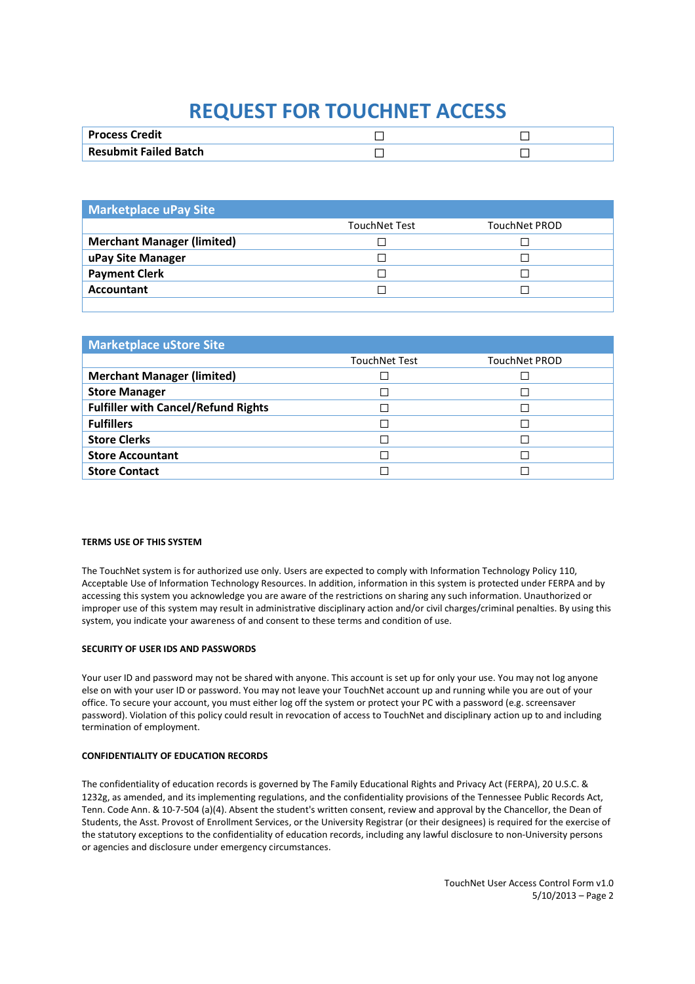| Credit<br><b>Process</b>     |  |
|------------------------------|--|
| <b>Resubmit Failed Batch</b> |  |

| <b>Marketplace uPay Site</b>      |                      |               |
|-----------------------------------|----------------------|---------------|
|                                   | <b>TouchNet Test</b> | TouchNet PROD |
| <b>Merchant Manager (limited)</b> |                      |               |
| uPay Site Manager                 |                      |               |
| <b>Payment Clerk</b>              |                      |               |
| Accountant                        |                      |               |
|                                   |                      |               |

| <b>Marketplace uStore Site</b>             |                          |                      |
|--------------------------------------------|--------------------------|----------------------|
|                                            | <b>TouchNet Test</b>     | <b>TouchNet PROD</b> |
| <b>Merchant Manager (limited)</b>          |                          |                      |
| <b>Store Manager</b>                       | П                        |                      |
| <b>Fulfiller with Cancel/Refund Rights</b> | $\overline{\phantom{a}}$ |                      |
| <b>Fulfillers</b>                          | П                        |                      |
| <b>Store Clerks</b>                        | П                        |                      |
| <b>Store Accountant</b>                    |                          |                      |
| <b>Store Contact</b>                       |                          |                      |

### **TERMS USE OF THIS SYSTEM**

The TouchNet system is for authorized use only. Users are expected to comply with Information Technology Policy 110, Acceptable Use of Information Technology Resources. In addition, information in this system is protected under FERPA and by accessing this system you acknowledge you are aware of the restrictions on sharing any such information. Unauthorized or improper use of this system may result in administrative disciplinary action and/or civil charges/criminal penalties. By using this system, you indicate your awareness of and consent to these terms and condition of use.

#### **SECURITY OF USER IDS AND PASSWORDS**

Your user ID and password may not be shared with anyone. This account is set up for only your use. You may not log anyone else on with your user ID or password. You may not leave your TouchNet account up and running while you are out of your office. To secure your account, you must either log off the system or protect your PC with a password (e.g. screensaver password). Violation of this policy could result in revocation of access to TouchNet and disciplinary action up to and including termination of employment.

#### **CONFIDENTIALITY OF EDUCATION RECORDS**

The confidentiality of education records is governed by The Family Educational Rights and Privacy Act (FERPA), 20 U.S.C. & 1232g, as amended, and its implementing regulations, and the confidentiality provisions of the Tennessee Public Records Act, Tenn. Code Ann. & 10-7-504 (a)(4). Absent the student's written consent, review and approval by the Chancellor, the Dean of Students, the Asst. Provost of Enrollment Services, or the University Registrar (or their designees) is required for the exercise of the statutory exceptions to the confidentiality of education records, including any lawful disclosure to non-University persons or agencies and disclosure under emergency circumstances.

> TouchNet User Access Control Form v1.0 5/10/2013 – Page 2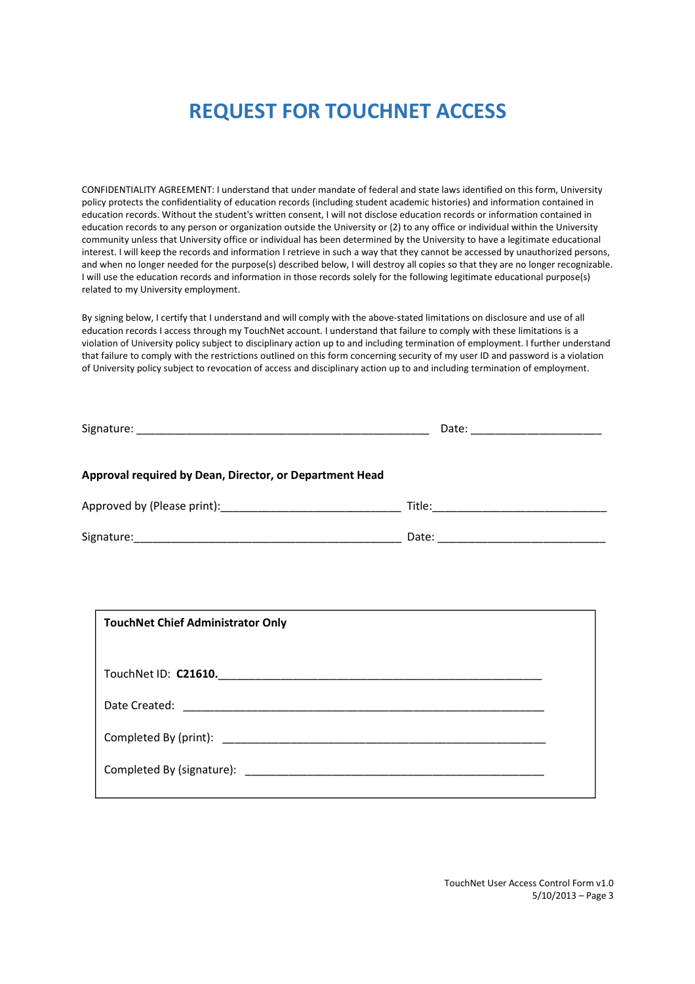CONFIDENTIALITY AGREEMENT: I understand that under mandate of federal and state laws identified on this form, University policy protects the confidentiality of education records (including student academic histories) and information contained in education records. Without the student's written consent, I will not disclose education records or information contained in education records to any person or organization outside the University or (2) to any office or individual within the University community unless that University office or individual has been determined by the University to have a legitimate educational interest. I will keep the records and information I retrieve in such a way that they cannot be accessed by unauthorized persons, and when no longer needed for the purpose(s) described below, I will destroy all copies so that they are no longer recognizable. I will use the education records and information in those records solely for the following legitimate educational purpose(s) related to my University employment.

By signing below, I certify that I understand and will comply with the above-stated limitations on disclosure and use of all education records I access through my TouchNet account. I understand that failure to comply with these limitations is a violation of University policy subject to disciplinary action up to and including termination of employment. I further understand that failure to comply with the restrictions outlined on this form concerning security of my user ID and password is a violation of University policy subject to revocation of access and disciplinary action up to and including termination of employment.

|                                                         | Date: _____________________ |
|---------------------------------------------------------|-----------------------------|
| Approval required by Dean, Director, or Department Head |                             |
|                                                         |                             |
|                                                         | Date:                       |

| <b>TouchNet Chief Administrator Only</b> |  |
|------------------------------------------|--|
|                                          |  |
| TouchNet ID: C21610.                     |  |
|                                          |  |
|                                          |  |
|                                          |  |
|                                          |  |

TouchNet User Access Control Form v1.0 5/10/2013 – Page 3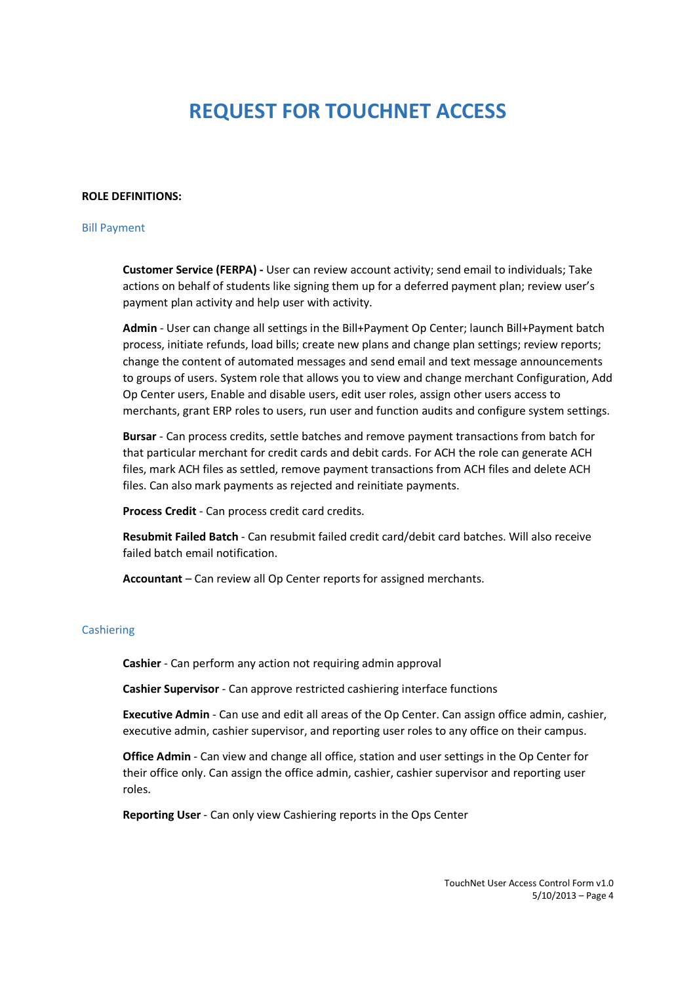### **ROLE DEFINITIONS:**

### Bill Payment

**Customer Service (FERPA) -** User can review account activity; send email to individuals; Take actions on behalf of students like signing them up for a deferred payment plan; review user's payment plan activity and help user with activity.

**Admin** - User can change all settings in the Bill+Payment Op Center; launch Bill+Payment batch process, initiate refunds, load bills; create new plans and change plan settings; review reports; change the content of automated messages and send email and text message announcements to groups of users. System role that allows you to view and change merchant Configuration, Add Op Center users, Enable and disable users, edit user roles, assign other users access to merchants, grant ERP roles to users, run user and function audits and configure system settings.

**Bursar** - Can process credits, settle batches and remove payment transactions from batch for that particular merchant for credit cards and debit cards. For ACH the role can generate ACH files, mark ACH files as settled, remove payment transactions from ACH files and delete ACH files. Can also mark payments as rejected and reinitiate payments.

**Process Credit** - Can process credit card credits.

**Resubmit Failed Batch** - Can resubmit failed credit card/debit card batches. Will also receive failed batch email notification.

**Accountant** – Can review all Op Center reports for assigned merchants.

#### Cashiering

**Cashier** - Can perform any action not requiring admin approval

**Cashier Supervisor** - Can approve restricted cashiering interface functions

**Executive Admin** - Can use and edit all areas of the Op Center. Can assign office admin, cashier, executive admin, cashier supervisor, and reporting user roles to any office on their campus.

**Office Admin** - Can view and change all office, station and user settings in the Op Center for their office only. Can assign the office admin, cashier, cashier supervisor and reporting user roles.

**Reporting User** - Can only view Cashiering reports in the Ops Center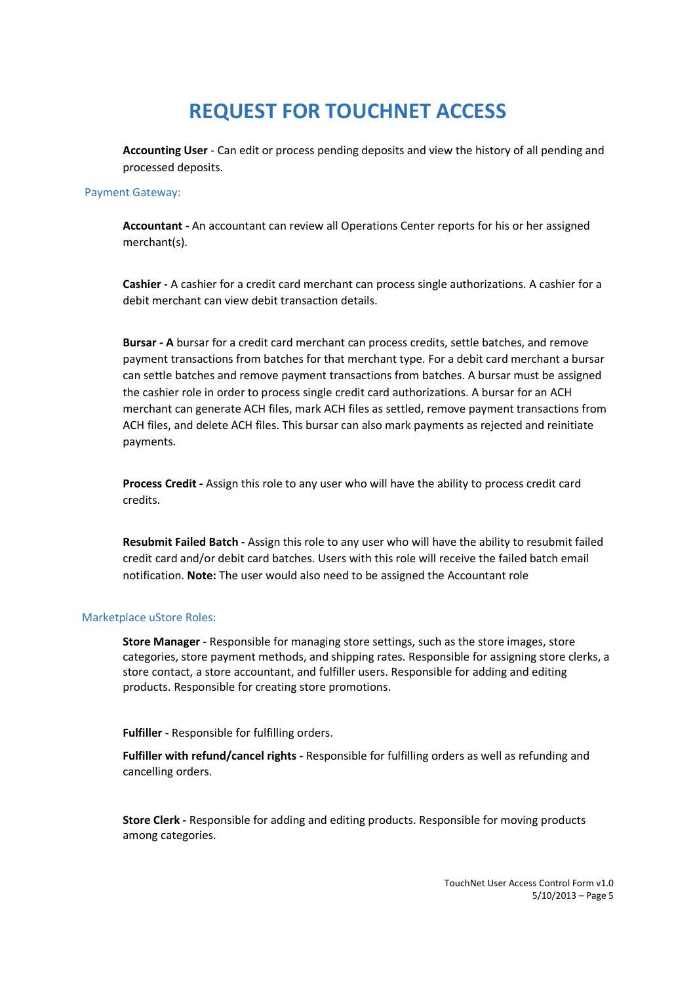**Accounting User** - Can edit or process pending deposits and view the history of all pending and processed deposits.

### Payment Gateway:

**Accountant -** An accountant can review all Operations Center reports for his or her assigned merchant(s).

**Cashier -** A cashier for a credit card merchant can process single authorizations. A cashier for a debit merchant can view debit transaction details.

**Bursar - A** bursar for a credit card merchant can process credits, settle batches, and remove payment transactions from batches for that merchant type. For a debit card merchant a bursar can settle batches and remove payment transactions from batches. A bursar must be assigned the cashier role in order to process single credit card authorizations. A bursar for an ACH merchant can generate ACH files, mark ACH files as settled, remove payment transactions from ACH files, and delete ACH files. This bursar can also mark payments as rejected and reinitiate payments.

**Process Credit -** Assign this role to any user who will have the ability to process credit card credits.

**Resubmit Failed Batch -** Assign this role to any user who will have the ability to resubmit failed credit card and/or debit card batches. Users with this role will receive the failed batch email notification. **Note:** The user would also need to be assigned the Accountant role

#### Marketplace uStore Roles:

**Store Manager** - Responsible for managing store settings, such as the store images, store categories, store payment methods, and shipping rates. Responsible for assigning store clerks, a store contact, a store accountant, and fulfiller users. Responsible for adding and editing products. Responsible for creating store promotions.

**Fulfiller -** Responsible for fulfilling orders.

**Fulfiller with refund/cancel rights -** Responsible for fulfilling orders as well as refunding and cancelling orders.

**Store Clerk -** Responsible for adding and editing products. Responsible for moving products among categories.